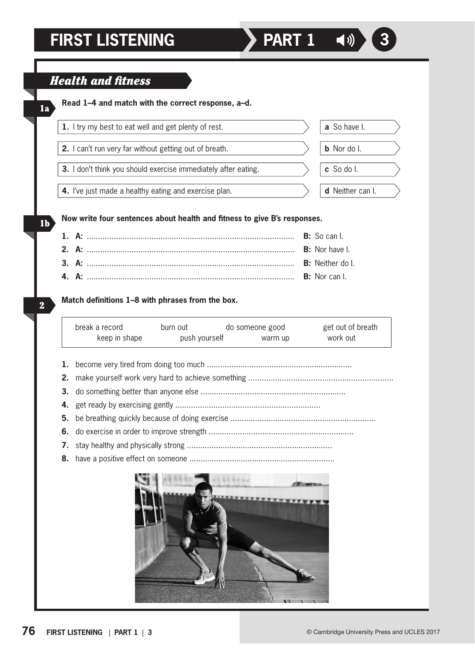1a

1b

2

## **Now write four sentences about health and fitness to give B's responses. Read 1–4 and match with the correct response, a–d.** *Health and fitness* **1.** I try my best to eat well and get plenty of rest.  $\qquad \qquad \qquad$  **a** So have I. **2.** I can't run very far without getting out of breath.  $\Box$  **b** Nor do I. **3.** I don't think you should exercise immediately after eating.  $\angle$  **c** So do I. **4.** I've just made a healthy eating and exercise plan.  $\Box$  **d** Neither can I.

**1. A:** ............................................................................................. **B:** So can I. **2. A:** ............................................................................................. **B:** Nor have I. **3. A:** ............................................................................................. **B:** Neither do I. **4. A:** ............................................................................................. **B:** Nor can I.

## **Match definitions 1–8 with phrases from the box.**

| break a record | burn out      | do someone good | get out of breath |
|----------------|---------------|-----------------|-------------------|
| keep in shape  | push yourself | warm up         | work out          |

- **1.** become very tired from doing too much .................................................................
- **2.** make yourself work very hard to achieve something .................................................................
- **3.** do something better than anyone else .................................................................
- **4.** get ready by exercising gently .................................................................
- **5.** be breathing quickly because of doing exercise .................................................................
- **6.** do exercise in order to improve strength .................................................................
- **7.** stay healthy and physically strong .................................................................
- **8.** have a positive effect on someone .................................................................